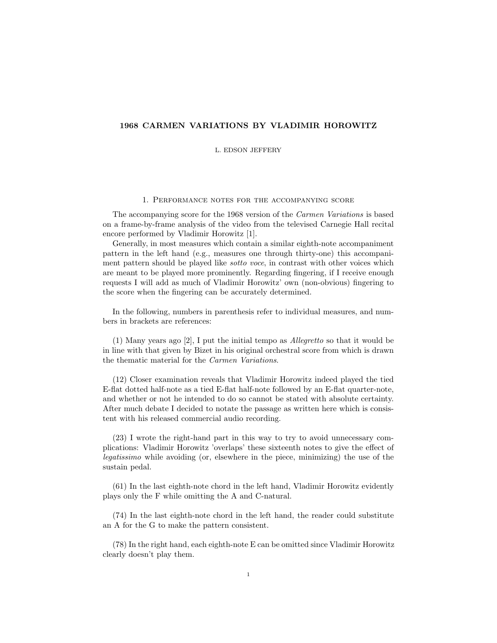# 1968 CARMEN VARIATIONS BY VLADIMIR HOROWITZ

#### L. EDSON JEFFERY

## 1. Performance notes for the accompanying score

The accompanying score for the 1968 version of the Carmen Variations is based on a frame-by-frame analysis of the video from the televised Carnegie Hall recital encore performed by Vladimir Horowitz [1].

Generally, in most measures which contain a similar eighth-note accompaniment pattern in the left hand (e.g., measures one through thirty-one) this accompaniment pattern should be played like sotto voce, in contrast with other voices which are meant to be played more prominently. Regarding fingering, if I receive enough requests I will add as much of Vladimir Horowitz' own (non-obvious) fingering to the score when the fingering can be accurately determined.

In the following, numbers in parenthesis refer to individual measures, and numbers in brackets are references:

(1) Many years ago [2], I put the initial tempo as *Allegretto* so that it would be in line with that given by Bizet in his original orchestral score from which is drawn the thematic material for the Carmen Variations.

(12) Closer examination reveals that Vladimir Horowitz indeed played the tied E-flat dotted half-note as a tied E-flat half-note followed by an E-flat quarter-note, and whether or not he intended to do so cannot be stated with absolute certainty. After much debate I decided to notate the passage as written here which is consistent with his released commercial audio recording.

(23) I wrote the right-hand part in this way to try to avoid unnecessary complications: Vladimir Horowitz 'overlaps' these sixteenth notes to give the effect of legatissimo while avoiding (or, elsewhere in the piece, minimizing) the use of the sustain pedal.

(61) In the last eighth-note chord in the left hand, Vladimir Horowitz evidently plays only the F while omitting the A and C-natural.

(74) In the last eighth-note chord in the left hand, the reader could substitute an A for the G to make the pattern consistent.

(78) In the right hand, each eighth-note E can be omitted since Vladimir Horowitz clearly doesn't play them.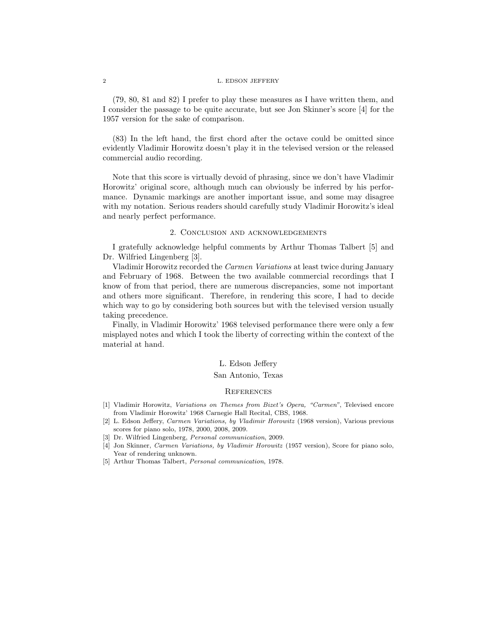#### 2 L. EDSON JEFFERY

(79, 80, 81 and 82) I prefer to play these measures as I have written them, and I consider the passage to be quite accurate, but see Jon Skinner's score [4] for the 1957 version for the sake of comparison.

(83) In the left hand, the first chord after the octave could be omitted since evidently Vladimir Horowitz doesn't play it in the televised version or the released commercial audio recording.

Note that this score is virtually devoid of phrasing, since we don't have Vladimir Horowitz' original score, although much can obviously be inferred by his performance. Dynamic markings are another important issue, and some may disagree with my notation. Serious readers should carefully study Vladimir Horowitz's ideal and nearly perfect performance.

# 2. Conclusion and acknowledgements

I gratefully acknowledge helpful comments by Arthur Thomas Talbert [5] and Dr. Wilfried Lingenberg [3].

Vladimir Horowitz recorded the Carmen Variations at least twice during January and February of 1968. Between the two available commercial recordings that I know of from that period, there are numerous discrepancies, some not important and others more significant. Therefore, in rendering this score, I had to decide which way to go by considering both sources but with the televised version usually taking precedence.

Finally, in Vladimir Horowitz' 1968 televised performance there were only a few misplayed notes and which I took the liberty of correcting within the context of the material at hand.

#### L. Edson Jeffery

# San Antonio, Texas

#### **REFERENCES**

- [1] Vladimir Horowitz, Variations on Themes from Bizet's Opera, "Carmen", Televised encore from Vladimir Horowitz' 1968 Carnegie Hall Recital, CBS, 1968.
- [2] L. Edson Jeffery, Carmen Variations, by Vladimir Horowitz (1968 version), Various previous scores for piano solo, 1978, 2000, 2008, 2009.
- [3] Dr. Wilfried Lingenberg, *Personal communication*, 2009.
- [4] Jon Skinner, Carmen Variations, by Vladimir Horowitz (1957 version), Score for piano solo, Year of rendering unknown.
- [5] Arthur Thomas Talbert, Personal communication, 1978.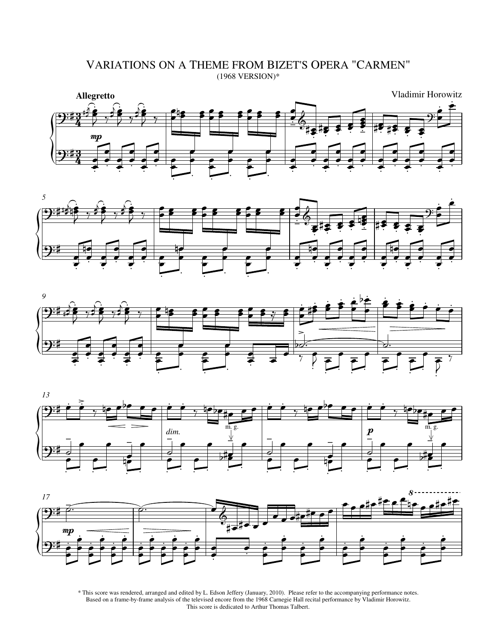# VARIATIONS ON A THEME FROM BIZET'S OPERA "CARMEN" (1968 VERSION)\*











\* This score was rendered, arranged and edited by L. Edson Jeffery (January, 2010). Please refer to the accompanying performance notes. Based on a frame-by-frame analysis of the televised encore from the 1968 Carnegie Hall recital performance by Vladimir Horowitz. This score is dedicated to Arthur Thomas Talbert.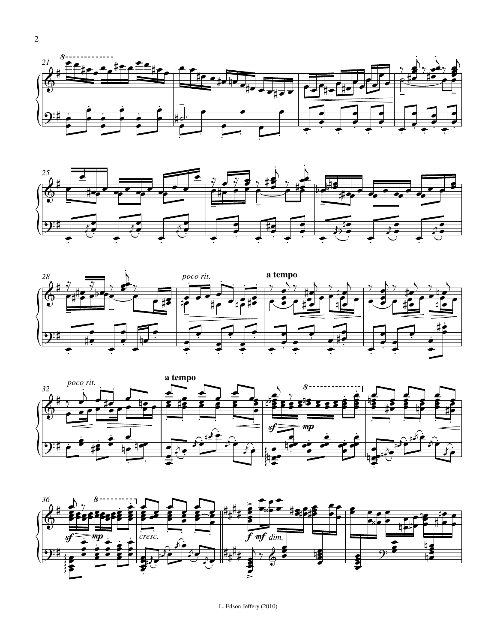







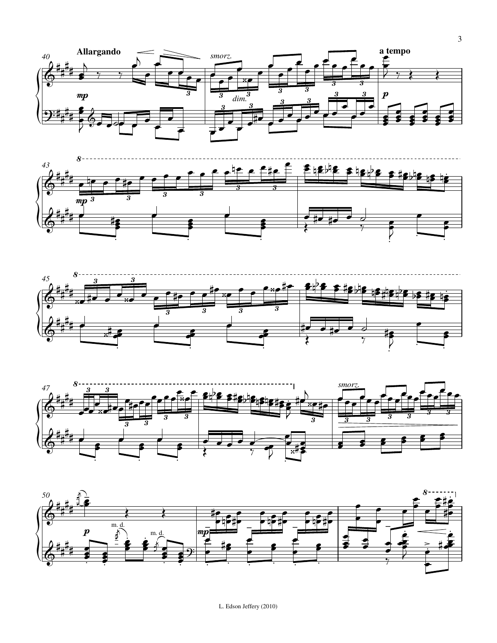







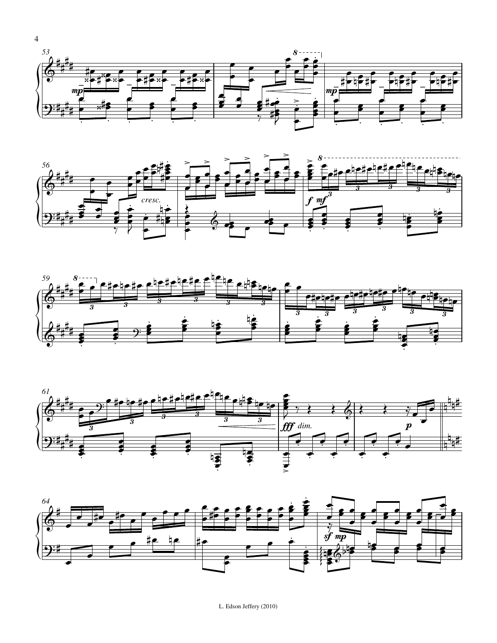







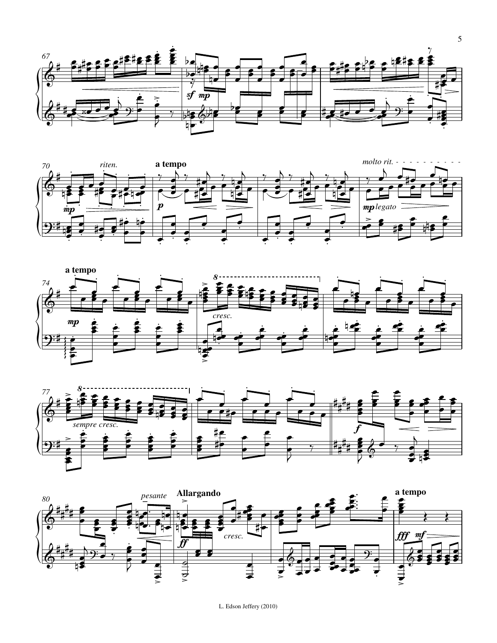







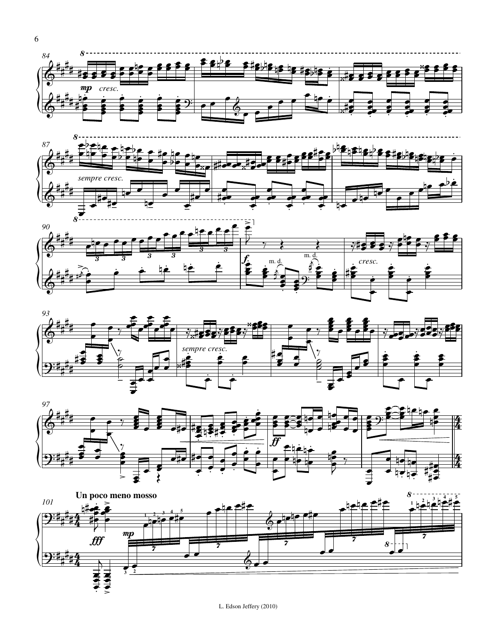









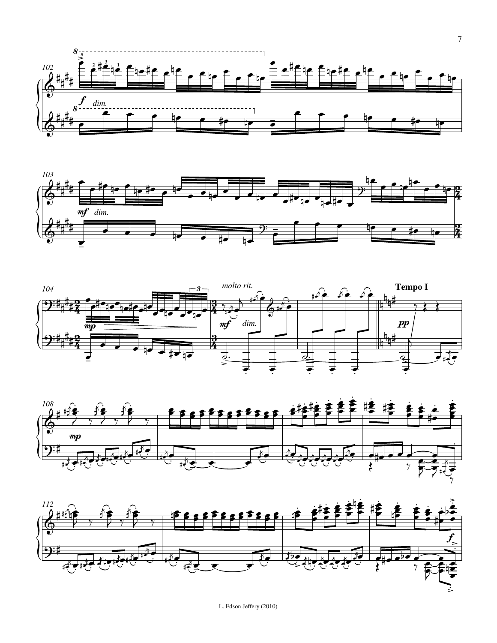![](_page_8_Figure_0.jpeg)

![](_page_8_Figure_1.jpeg)

![](_page_8_Figure_2.jpeg)

![](_page_8_Figure_3.jpeg)

![](_page_8_Figure_4.jpeg)

L. Edson Jeffery (2010)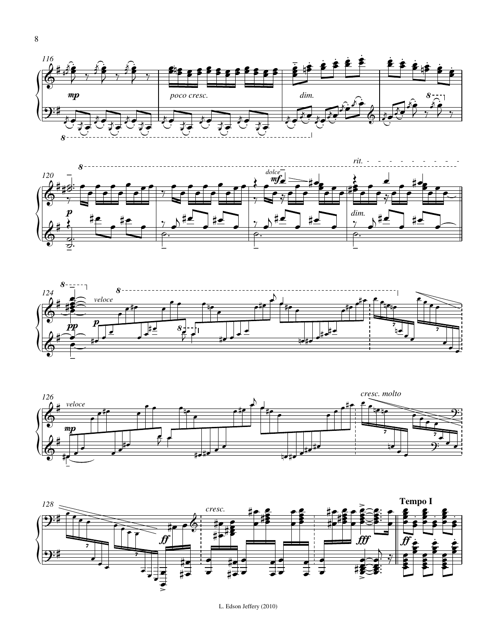![](_page_9_Figure_0.jpeg)

![](_page_9_Figure_1.jpeg)

![](_page_9_Figure_2.jpeg)

![](_page_9_Figure_3.jpeg)

![](_page_9_Figure_4.jpeg)